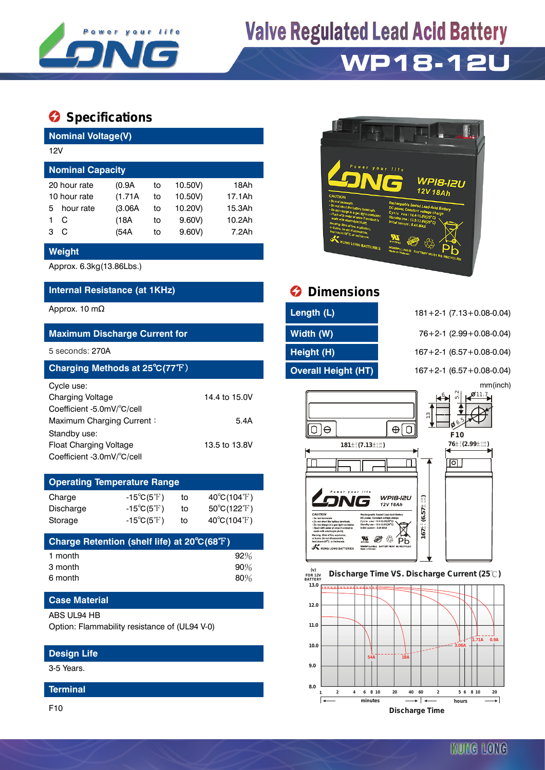

# **Valve Regulated Lead Acid Battery**

# **WP18-12U**

## **Specifications**

| <b>Nominal Voltage(V)</b> |              |         |    |         |        |  |  |  |
|---------------------------|--------------|---------|----|---------|--------|--|--|--|
| 12V                       |              |         |    |         |        |  |  |  |
| <b>Nominal Capacity</b>   |              |         |    |         |        |  |  |  |
|                           | 20 hour rate | (0.9A   | to | 10.50V) | 18Ah   |  |  |  |
| 10 hour rate              |              | (1.71A) | to | 10.50V) | 17.1Ah |  |  |  |
| 5                         | hour rate    | (3.06A) | to | 10.20V) | 15.3Ah |  |  |  |
|                           | С            | (18A    | to | 9.60V   | 10.2Ah |  |  |  |
| з                         | С            | (54A    | to | 9.60V   | 7.2Ah  |  |  |  |

#### **Weight**

Approx. 6.3kg(13.86Lbs.)

#### **Internal Resistance (at 1KHz) Dimensions**

#### **Maximum Discharge Current for Width (W)** 76+2-1 (2.99+0.08-0.04)

| Charging Methods at 25°C(77°F) |               |  |  |  |  |  |  |
|--------------------------------|---------------|--|--|--|--|--|--|
| Cycle use:                     |               |  |  |  |  |  |  |
| <b>Charging Voltage</b>        | 14.4 to 15.0V |  |  |  |  |  |  |
| Coefficient -5.0mV/°C/cell     |               |  |  |  |  |  |  |
| Maximum Charging Current:      | 5.4A          |  |  |  |  |  |  |
| Standby use:                   |               |  |  |  |  |  |  |
| <b>Float Charging Voltage</b>  | 13.5 to 13.8V |  |  |  |  |  |  |
| Coefficient -3.0mV/°C/cell     |               |  |  |  |  |  |  |

### **Operating Temperature Range** Charge  $-15^{\circ}C(5^{\circ}F)$  to  $40^{\circ}C(104^{\circ}F)$ Discharge  $-15^{\circ}C(5^{\circ}F)$  to  $50^{\circ}C(122^{\circ}F)$ Storage  $-15^{\circ}C(5^{\circ}F)$  to  $40^{\circ}C(104^{\circ}F)$

| Charge Retention (shelf life) at 20°C(68°F) |        |
|---------------------------------------------|--------|
| 1 month                                     | 92%    |
| 3 month                                     | $90\%$ |
| 6 month                                     | $80\%$ |

#### **Case Material**

#### ABS UL94 HB

Option: Flammability resistance of (UL94 V-0)

#### **Design Life**

3-5 Years.

#### **Terminal**

F10



| Approx. 10 mΩ                        | Length (L)          | $181 + 2 - 1$ (7.13 + 0.08 - 0.04) |
|--------------------------------------|---------------------|------------------------------------|
| <b>Maximum Discharge Current for</b> | Width (W)           | $76+2-1$ (2.99 + 0.08 - 0.04)      |
| 5 seconds: 270A                      | Height (H)          | $167 + 2 - 1$ (6.57 + 0.08 - 0.04) |
| Charging Methods at 25°C(77°F)       | Overall Height (HT) | $167 + 2 - 1$ (6.57 + 0.08 - 0.04) |

5 seconds: 270A **Height (H)** 167+2-1 (6.57+0.08-0.04) **Charging Methods at 25**℃**(77**℉) **Overall Height (HT)** 167+2-1 (6.57+0.08-0.04) mm(inch)



#### **FOR 12V BATTERY Discharge Time VS. Discharge Current (25 ℃)**